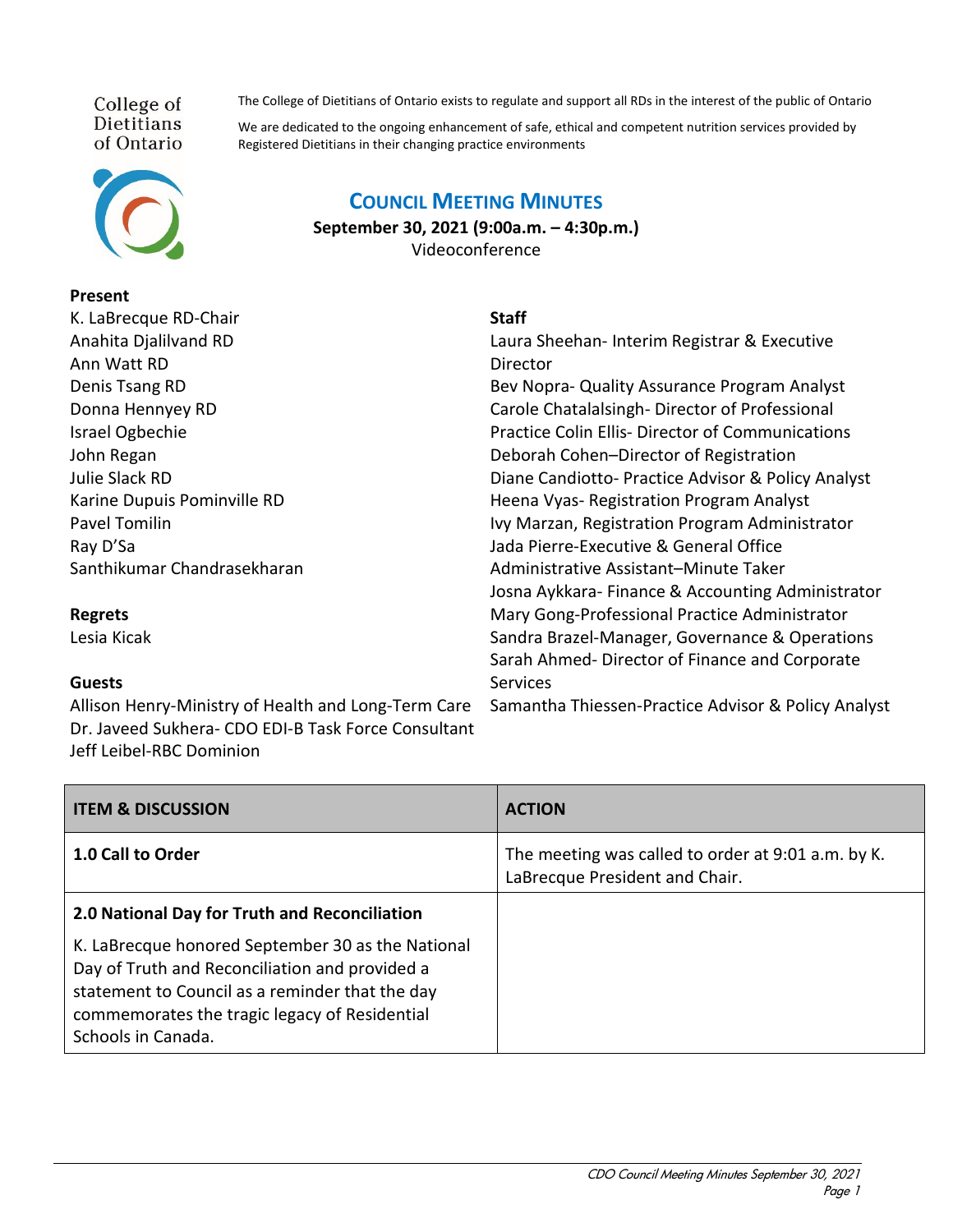College of **Dietitians** of Ontario



## **Present**

**Regrets** Lesia Kicak

| K. LaBrecque RD-Chair       |
|-----------------------------|
| Anahita Djalilvand RD       |
| Ann Watt RD                 |
| Denis Tsang RD              |
| Donna Hennyey RD            |
| Israel Ogbechie             |
| John Regan                  |
| Julie Slack RD              |
| Karine Dupuis Pominville RD |
| <b>Pavel Tomilin</b>        |
| Ray D'Sa                    |
| Santhikumar Chandrasekharan |

**COUNCIL MEETING MINUTES**

**September 30, 2021 (9:00a.m. – 4:30p.m.)** Videoconference

## **Staff**

Laura Sheehan- Interim Registrar & Executive **Director** Bev Nopra- Quality Assurance Program Analyst Carole Chatalalsingh- Director of Professional Practice Colin Ellis- Director of Communications Deborah Cohen–Director of Registration Diane Candiotto- Practice Advisor & Policy Analyst Heena Vyas- Registration Program Analyst Ivy Marzan, Registration Program Administrator Jada Pierre-Executive & General Office Administrative Assistant–Minute Taker Josna Aykkara- Finance & Accounting Administrator Mary Gong-Professional Practice Administrator Sandra Brazel-Manager, Governance & Operations Sarah Ahmed- Director of Finance and Corporate Services

**Guests** Allison Henry-Ministry of Health and Long-Term Care Dr. Javeed Sukhera- CDO EDI-B Task Force Consultant

Jeff Leibel-RBC Dominion

Samantha Thiessen-Practice Advisor & Policy Analyst

| <b>ITEM &amp; DISCUSSION</b>                                                                                                                                                                                                  | <b>ACTION</b>                                                                        |
|-------------------------------------------------------------------------------------------------------------------------------------------------------------------------------------------------------------------------------|--------------------------------------------------------------------------------------|
| 1.0 Call to Order                                                                                                                                                                                                             | The meeting was called to order at 9:01 a.m. by K.<br>LaBrecque President and Chair. |
| 2.0 National Day for Truth and Reconciliation                                                                                                                                                                                 |                                                                                      |
| K. LaBrecque honored September 30 as the National<br>Day of Truth and Reconciliation and provided a<br>statement to Council as a reminder that the day<br>commemorates the tragic legacy of Residential<br>Schools in Canada. |                                                                                      |

The College of Dietitians of Ontario exists to regulate and support all RDs in the interest of the public of Ontario

We are dedicated to the ongoing enhancement of safe, ethical and competent nutrition services provided by Registered Dietitians in their changing practice environments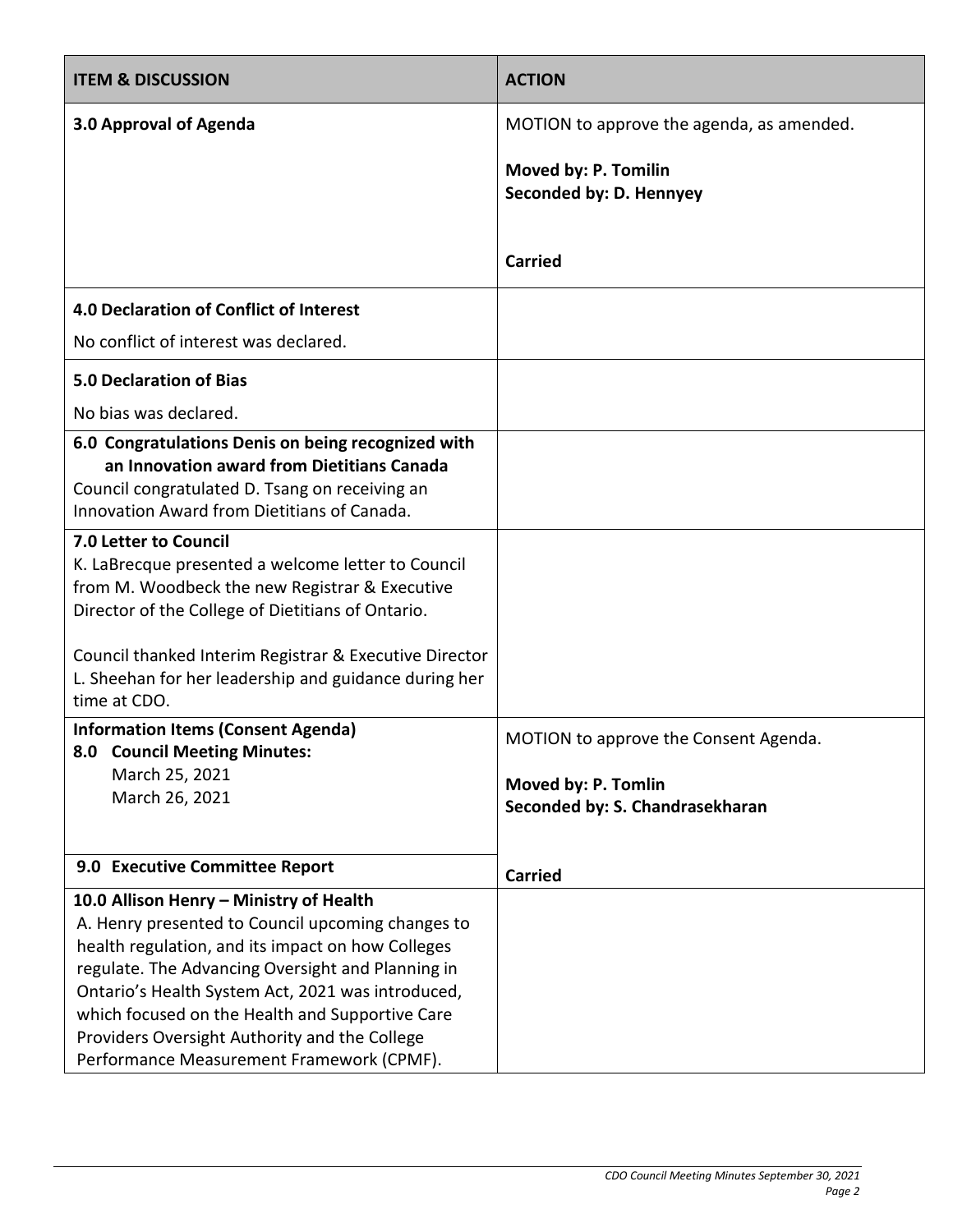| <b>ITEM &amp; DISCUSSION</b>                                                                                                                                                                                                                                                                                                                                                                                 | <b>ACTION</b>                                                                                   |
|--------------------------------------------------------------------------------------------------------------------------------------------------------------------------------------------------------------------------------------------------------------------------------------------------------------------------------------------------------------------------------------------------------------|-------------------------------------------------------------------------------------------------|
| 3.0 Approval of Agenda                                                                                                                                                                                                                                                                                                                                                                                       | MOTION to approve the agenda, as amended.                                                       |
|                                                                                                                                                                                                                                                                                                                                                                                                              | Moved by: P. Tomilin<br>Seconded by: D. Hennyey                                                 |
|                                                                                                                                                                                                                                                                                                                                                                                                              | <b>Carried</b>                                                                                  |
| 4.0 Declaration of Conflict of Interest                                                                                                                                                                                                                                                                                                                                                                      |                                                                                                 |
| No conflict of interest was declared.                                                                                                                                                                                                                                                                                                                                                                        |                                                                                                 |
| <b>5.0 Declaration of Bias</b>                                                                                                                                                                                                                                                                                                                                                                               |                                                                                                 |
| No bias was declared.                                                                                                                                                                                                                                                                                                                                                                                        |                                                                                                 |
| 6.0 Congratulations Denis on being recognized with<br>an Innovation award from Dietitians Canada<br>Council congratulated D. Tsang on receiving an<br>Innovation Award from Dietitians of Canada.                                                                                                                                                                                                            |                                                                                                 |
| 7.0 Letter to Council<br>K. LaBrecque presented a welcome letter to Council<br>from M. Woodbeck the new Registrar & Executive<br>Director of the College of Dietitians of Ontario.<br>Council thanked Interim Registrar & Executive Director<br>L. Sheehan for her leadership and guidance during her<br>time at CDO.                                                                                        |                                                                                                 |
| <b>Information Items (Consent Agenda)</b><br>8.0 Council Meeting Minutes:<br>March 25, 2021<br>March 26, 2021                                                                                                                                                                                                                                                                                                | MOTION to approve the Consent Agenda.<br>Moved by: P. Tomlin<br>Seconded by: S. Chandrasekharan |
| 9.0 Executive Committee Report                                                                                                                                                                                                                                                                                                                                                                               | <b>Carried</b>                                                                                  |
| 10.0 Allison Henry - Ministry of Health<br>A. Henry presented to Council upcoming changes to<br>health regulation, and its impact on how Colleges<br>regulate. The Advancing Oversight and Planning in<br>Ontario's Health System Act, 2021 was introduced,<br>which focused on the Health and Supportive Care<br>Providers Oversight Authority and the College<br>Performance Measurement Framework (CPMF). |                                                                                                 |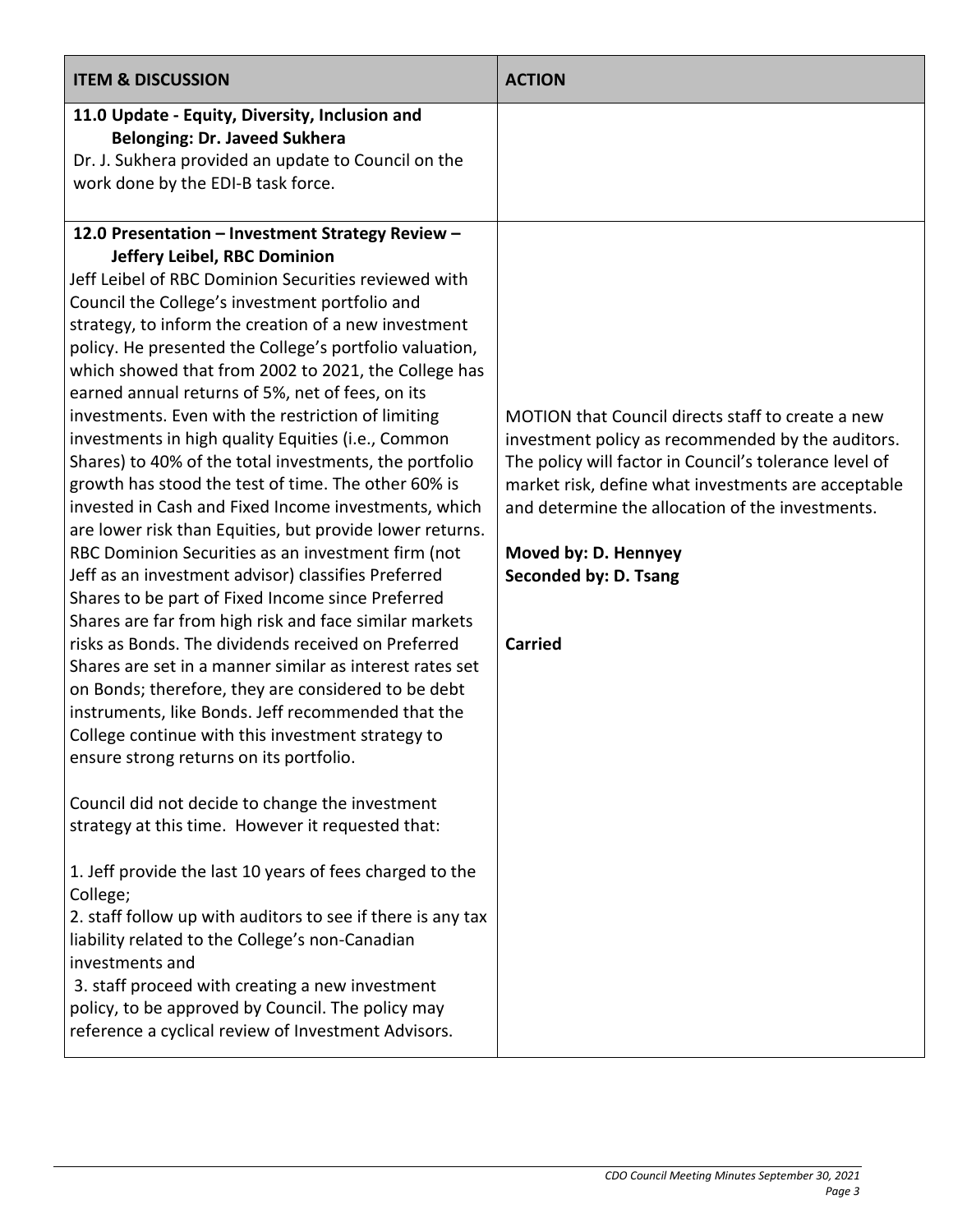| <b>ITEM &amp; DISCUSSION</b>                                                                                                                                                                                                                                                                                                                                                                                                                                                                                                                                                                                                                                                                                                                                                                                                                                                                                                                                                                                                                                                                                                                                                                                                                                                                                                                                                                                                                                                                                                                                                                                                                                                                                                                                                                                                                                                                          | <b>ACTION</b>                                                                                                                                                                                                                                                                                                                                  |
|-------------------------------------------------------------------------------------------------------------------------------------------------------------------------------------------------------------------------------------------------------------------------------------------------------------------------------------------------------------------------------------------------------------------------------------------------------------------------------------------------------------------------------------------------------------------------------------------------------------------------------------------------------------------------------------------------------------------------------------------------------------------------------------------------------------------------------------------------------------------------------------------------------------------------------------------------------------------------------------------------------------------------------------------------------------------------------------------------------------------------------------------------------------------------------------------------------------------------------------------------------------------------------------------------------------------------------------------------------------------------------------------------------------------------------------------------------------------------------------------------------------------------------------------------------------------------------------------------------------------------------------------------------------------------------------------------------------------------------------------------------------------------------------------------------------------------------------------------------------------------------------------------------|------------------------------------------------------------------------------------------------------------------------------------------------------------------------------------------------------------------------------------------------------------------------------------------------------------------------------------------------|
| 11.0 Update - Equity, Diversity, Inclusion and<br><b>Belonging: Dr. Javeed Sukhera</b><br>Dr. J. Sukhera provided an update to Council on the<br>work done by the EDI-B task force.<br>12.0 Presentation - Investment Strategy Review -<br>Jeffery Leibel, RBC Dominion<br>Jeff Leibel of RBC Dominion Securities reviewed with<br>Council the College's investment portfolio and<br>strategy, to inform the creation of a new investment<br>policy. He presented the College's portfolio valuation,<br>which showed that from 2002 to 2021, the College has<br>earned annual returns of 5%, net of fees, on its<br>investments. Even with the restriction of limiting<br>investments in high quality Equities (i.e., Common<br>Shares) to 40% of the total investments, the portfolio<br>growth has stood the test of time. The other 60% is<br>invested in Cash and Fixed Income investments, which<br>are lower risk than Equities, but provide lower returns.<br>RBC Dominion Securities as an investment firm (not<br>Jeff as an investment advisor) classifies Preferred<br>Shares to be part of Fixed Income since Preferred<br>Shares are far from high risk and face similar markets<br>risks as Bonds. The dividends received on Preferred<br>Shares are set in a manner similar as interest rates set<br>on Bonds; therefore, they are considered to be debt<br>instruments, like Bonds. Jeff recommended that the<br>College continue with this investment strategy to<br>ensure strong returns on its portfolio.<br>Council did not decide to change the investment<br>strategy at this time. However it requested that:<br>1. Jeff provide the last 10 years of fees charged to the<br>College;<br>2. staff follow up with auditors to see if there is any tax<br>liability related to the College's non-Canadian<br>investments and<br>3. staff proceed with creating a new investment | MOTION that Council directs staff to create a new<br>investment policy as recommended by the auditors.<br>The policy will factor in Council's tolerance level of<br>market risk, define what investments are acceptable<br>and determine the allocation of the investments.<br>Moved by: D. Hennyey<br>Seconded by: D. Tsang<br><b>Carried</b> |
| policy, to be approved by Council. The policy may<br>reference a cyclical review of Investment Advisors.                                                                                                                                                                                                                                                                                                                                                                                                                                                                                                                                                                                                                                                                                                                                                                                                                                                                                                                                                                                                                                                                                                                                                                                                                                                                                                                                                                                                                                                                                                                                                                                                                                                                                                                                                                                              |                                                                                                                                                                                                                                                                                                                                                |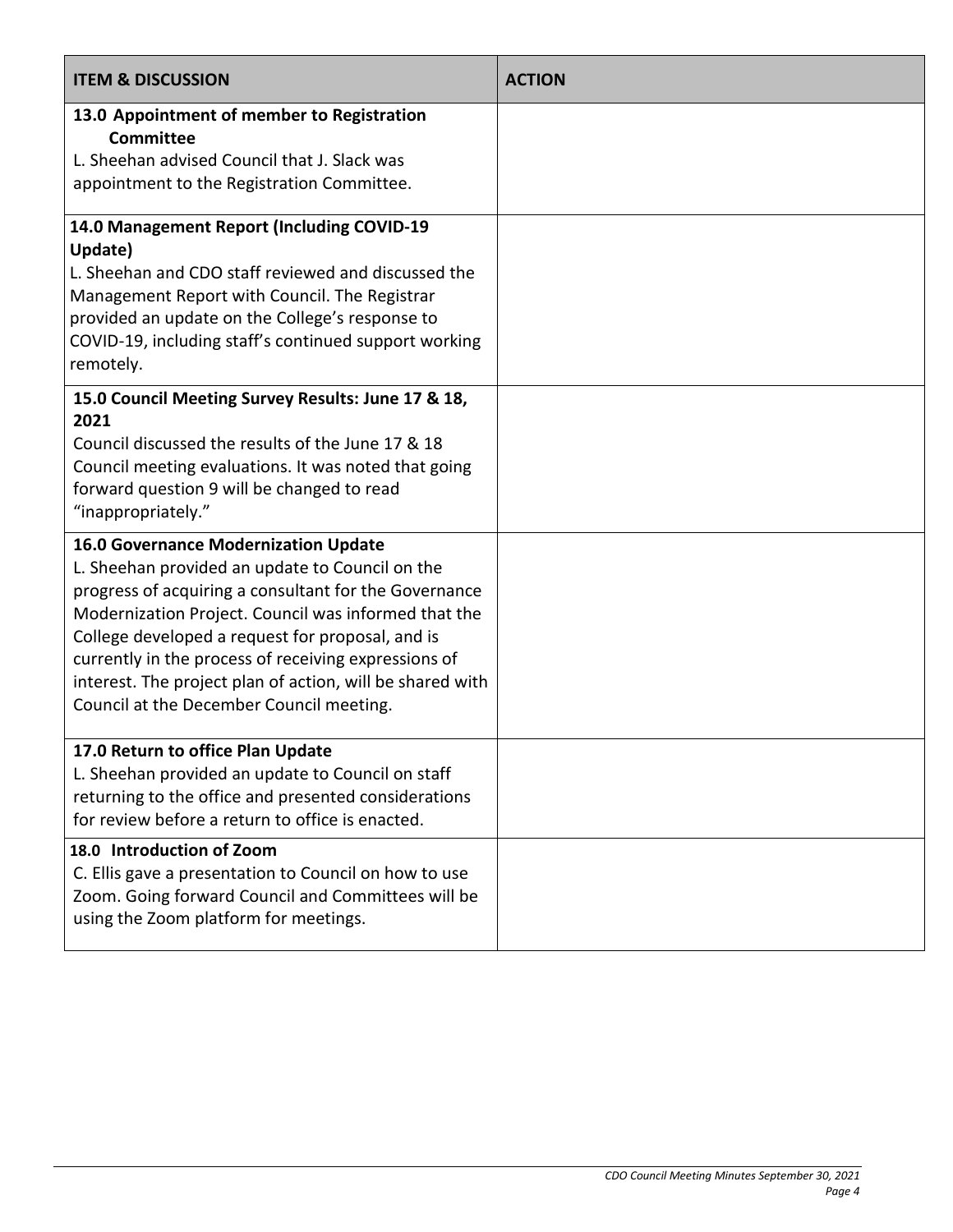| <b>ITEM &amp; DISCUSSION</b>                                                                                                                                                                                                                                                                                                                                                                                                         | <b>ACTION</b> |
|--------------------------------------------------------------------------------------------------------------------------------------------------------------------------------------------------------------------------------------------------------------------------------------------------------------------------------------------------------------------------------------------------------------------------------------|---------------|
| 13.0 Appointment of member to Registration<br><b>Committee</b><br>L. Sheehan advised Council that J. Slack was<br>appointment to the Registration Committee.                                                                                                                                                                                                                                                                         |               |
| 14.0 Management Report (Including COVID-19<br>Update)<br>L. Sheehan and CDO staff reviewed and discussed the<br>Management Report with Council. The Registrar<br>provided an update on the College's response to<br>COVID-19, including staff's continued support working<br>remotely.                                                                                                                                               |               |
| 15.0 Council Meeting Survey Results: June 17 & 18,<br>2021<br>Council discussed the results of the June 17 & 18<br>Council meeting evaluations. It was noted that going<br>forward question 9 will be changed to read<br>"inappropriately."                                                                                                                                                                                          |               |
| <b>16.0 Governance Modernization Update</b><br>L. Sheehan provided an update to Council on the<br>progress of acquiring a consultant for the Governance<br>Modernization Project. Council was informed that the<br>College developed a request for proposal, and is<br>currently in the process of receiving expressions of<br>interest. The project plan of action, will be shared with<br>Council at the December Council meeting. |               |
| 17.0 Return to office Plan Update<br>L. Sheehan provided an update to Council on staff<br>returning to the office and presented considerations<br>for review before a return to office is enacted.                                                                                                                                                                                                                                   |               |
| 18.0 Introduction of Zoom<br>C. Ellis gave a presentation to Council on how to use<br>Zoom. Going forward Council and Committees will be<br>using the Zoom platform for meetings.                                                                                                                                                                                                                                                    |               |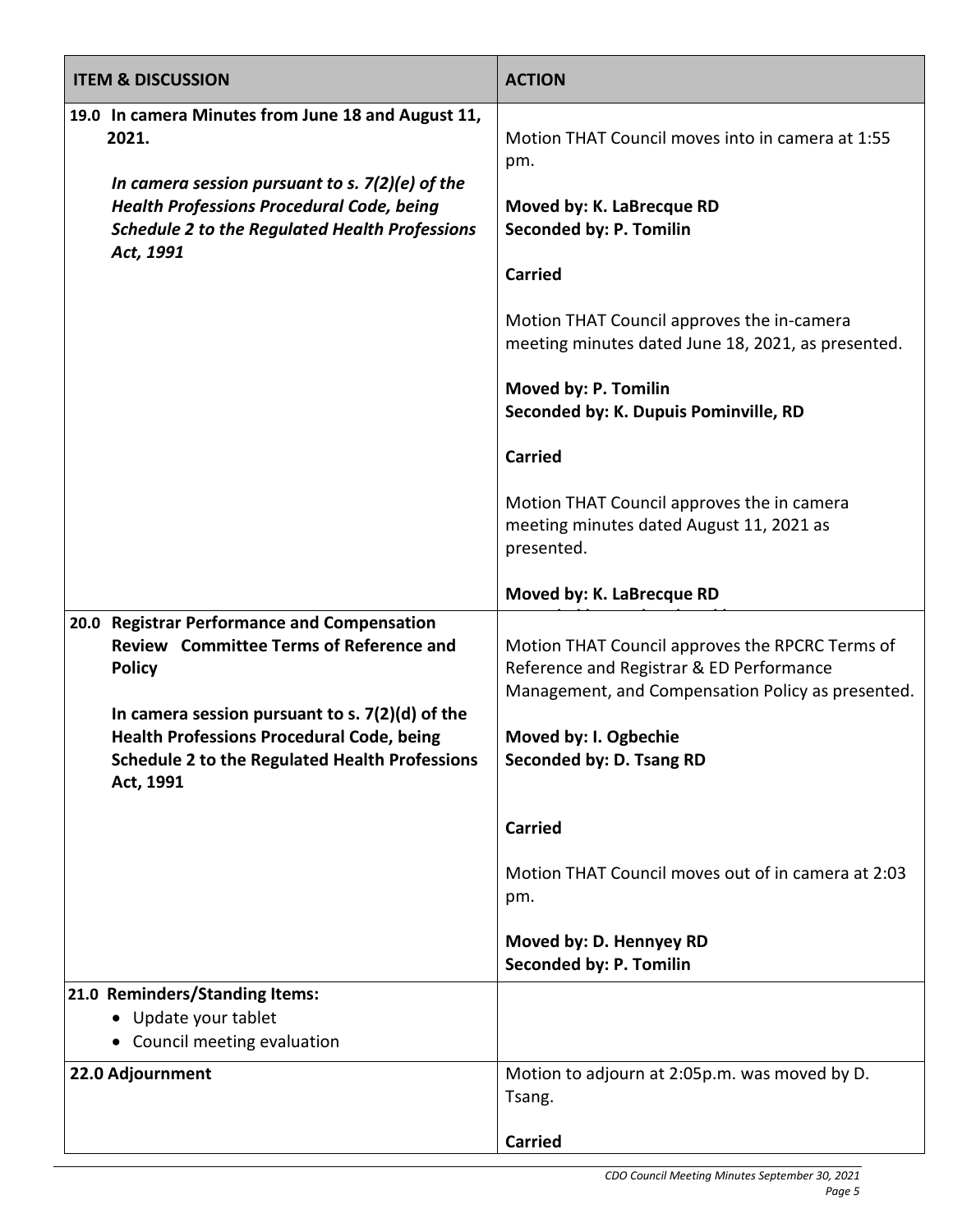| <b>ITEM &amp; DISCUSSION</b>                                                                                                                                                                                                                                                           | <b>ACTION</b>                                                                                                                                                                                                                                                                                                                                                                                                                                                 |
|----------------------------------------------------------------------------------------------------------------------------------------------------------------------------------------------------------------------------------------------------------------------------------------|---------------------------------------------------------------------------------------------------------------------------------------------------------------------------------------------------------------------------------------------------------------------------------------------------------------------------------------------------------------------------------------------------------------------------------------------------------------|
| 19.0 In camera Minutes from June 18 and August 11,<br>2021.<br>In camera session pursuant to s. 7(2)(e) of the<br><b>Health Professions Procedural Code, being</b><br><b>Schedule 2 to the Regulated Health Professions</b><br>Act, 1991                                               | Motion THAT Council moves into in camera at 1:55<br>pm.<br>Moved by: K. LaBrecque RD<br>Seconded by: P. Tomilin<br><b>Carried</b><br>Motion THAT Council approves the in-camera<br>meeting minutes dated June 18, 2021, as presented.<br>Moved by: P. Tomilin<br>Seconded by: K. Dupuis Pominville, RD<br><b>Carried</b><br>Motion THAT Council approves the in camera<br>meeting minutes dated August 11, 2021 as<br>presented.<br>Moved by: K. LaBrecque RD |
| 20.0 Registrar Performance and Compensation<br>Review Committee Terms of Reference and<br><b>Policy</b><br>In camera session pursuant to s. $7(2)(d)$ of the<br><b>Health Professions Procedural Code, being</b><br><b>Schedule 2 to the Regulated Health Professions</b><br>Act, 1991 | Motion THAT Council approves the RPCRC Terms of<br>Reference and Registrar & ED Performance<br>Management, and Compensation Policy as presented.<br>Moved by: I. Ogbechie<br>Seconded by: D. Tsang RD<br><b>Carried</b><br>Motion THAT Council moves out of in camera at 2:03<br>pm.<br>Moved by: D. Hennyey RD<br>Seconded by: P. Tomilin                                                                                                                    |
| 21.0 Reminders/Standing Items:<br>Update your tablet<br>Council meeting evaluation<br>$\bullet$                                                                                                                                                                                        |                                                                                                                                                                                                                                                                                                                                                                                                                                                               |
| 22.0 Adjournment                                                                                                                                                                                                                                                                       | Motion to adjourn at 2:05p.m. was moved by D.<br>Tsang.<br><b>Carried</b>                                                                                                                                                                                                                                                                                                                                                                                     |